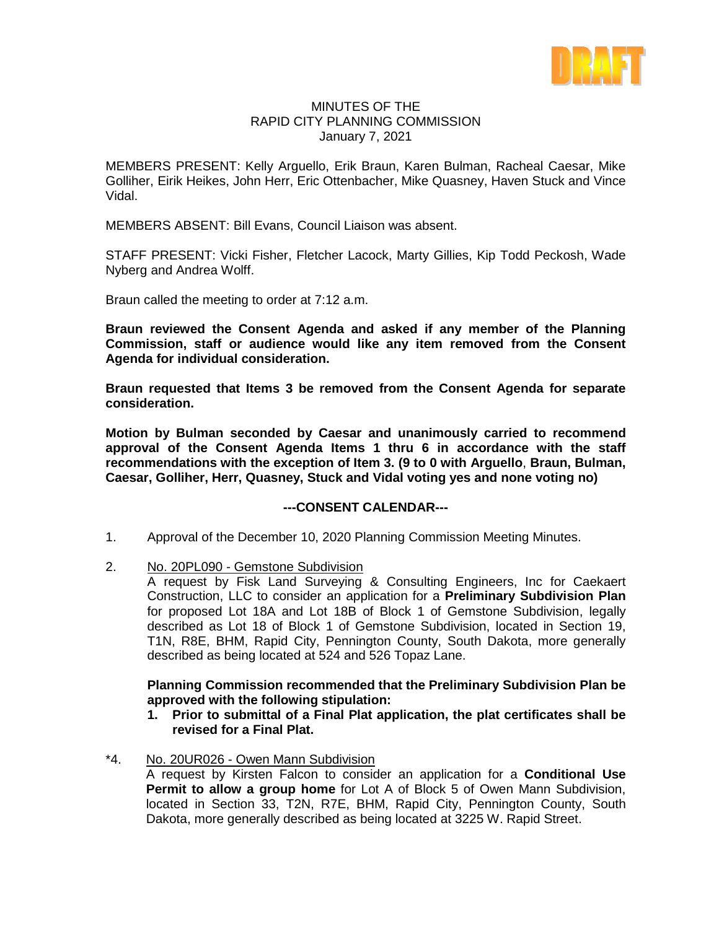

#### MINUTES OF THE RAPID CITY PLANNING COMMISSION January 7, 2021

MEMBERS PRESENT: Kelly Arguello, Erik Braun, Karen Bulman, Racheal Caesar, Mike Golliher, Eirik Heikes, John Herr, Eric Ottenbacher, Mike Quasney, Haven Stuck and Vince Vidal.

MEMBERS ABSENT: Bill Evans, Council Liaison was absent.

STAFF PRESENT: Vicki Fisher, Fletcher Lacock, Marty Gillies, Kip Todd Peckosh, Wade Nyberg and Andrea Wolff.

Braun called the meeting to order at 7:12 a.m.

**Braun reviewed the Consent Agenda and asked if any member of the Planning Commission, staff or audience would like any item removed from the Consent Agenda for individual consideration.**

**Braun requested that Items 3 be removed from the Consent Agenda for separate consideration.**

**Motion by Bulman seconded by Caesar and unanimously carried to recommend approval of the Consent Agenda Items 1 thru 6 in accordance with the staff recommendations with the exception of Item 3. (9 to 0 with Arguello**, **Braun, Bulman, Caesar, Golliher, Herr, Quasney, Stuck and Vidal voting yes and none voting no)**

#### **---CONSENT CALENDAR---**

- 1. Approval of the December 10, 2020 Planning Commission Meeting Minutes.
- 2. No. 20PL090 Gemstone Subdivision

A request by Fisk Land Surveying & Consulting Engineers, Inc for Caekaert Construction, LLC to consider an application for a **Preliminary Subdivision Plan** for proposed Lot 18A and Lot 18B of Block 1 of Gemstone Subdivision, legally described as Lot 18 of Block 1 of Gemstone Subdivision, located in Section 19, T1N, R8E, BHM, Rapid City, Pennington County, South Dakota, more generally described as being located at 524 and 526 Topaz Lane.

## **Planning Commission recommended that the Preliminary Subdivision Plan be approved with the following stipulation:**

- **1. Prior to submittal of a Final Plat application, the plat certificates shall be revised for a Final Plat.**
- \*4. No. 20UR026 Owen Mann Subdivision

A request by Kirsten Falcon to consider an application for a **Conditional Use Permit to allow a group home** for Lot A of Block 5 of Owen Mann Subdivision, located in Section 33, T2N, R7E, BHM, Rapid City, Pennington County, South Dakota, more generally described as being located at 3225 W. Rapid Street.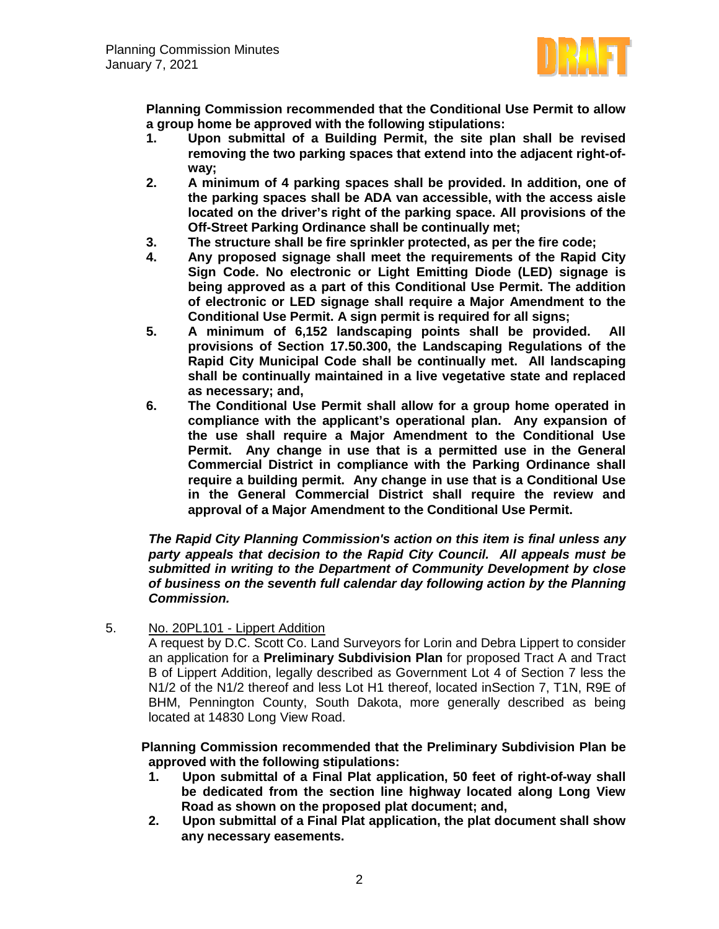

**Planning Commission recommended that the Conditional Use Permit to allow a group home be approved with the following stipulations:**

- **1. Upon submittal of a Building Permit, the site plan shall be revised removing the two parking spaces that extend into the adjacent right-ofway;**
- **2. A minimum of 4 parking spaces shall be provided. In addition, one of the parking spaces shall be ADA van accessible, with the access aisle located on the driver's right of the parking space. All provisions of the Off-Street Parking Ordinance shall be continually met;**
- **3. The structure shall be fire sprinkler protected, as per the fire code;**
- **4. Any proposed signage shall meet the requirements of the Rapid City Sign Code. No electronic or Light Emitting Diode (LED) signage is being approved as a part of this Conditional Use Permit. The addition of electronic or LED signage shall require a Major Amendment to the Conditional Use Permit. A sign permit is required for all signs;**
- **5. A minimum of 6,152 landscaping points shall be provided. All provisions of Section 17.50.300, the Landscaping Regulations of the Rapid City Municipal Code shall be continually met. All landscaping shall be continually maintained in a live vegetative state and replaced as necessary; and,**
- **6. The Conditional Use Permit shall allow for a group home operated in compliance with the applicant's operational plan. Any expansion of the use shall require a Major Amendment to the Conditional Use Permit. Any change in use that is a permitted use in the General Commercial District in compliance with the Parking Ordinance shall require a building permit. Any change in use that is a Conditional Use in the General Commercial District shall require the review and approval of a Major Amendment to the Conditional Use Permit.**

*The Rapid City Planning Commission's action on this item is final unless any party appeals that decision to the Rapid City Council. All appeals must be submitted in writing to the Department of Community Development by close of business on the seventh full calendar day following action by the Planning Commission.*

5. No. 20PL101 - Lippert Addition

A request by D.C. Scott Co. Land Surveyors for Lorin and Debra Lippert to consider an application for a **Preliminary Subdivision Plan** for proposed Tract A and Tract B of Lippert Addition, legally described as Government Lot 4 of Section 7 less the N1/2 of the N1/2 thereof and less Lot H1 thereof, located inSection 7, T1N, R9E of BHM, Pennington County, South Dakota, more generally described as being located at 14830 Long View Road.

**Planning Commission recommended that the Preliminary Subdivision Plan be approved with the following stipulations:** 

- **1. Upon submittal of a Final Plat application, 50 feet of right-of-way shall be dedicated from the section line highway located along Long View Road as shown on the proposed plat document; and,**
- **2. Upon submittal of a Final Plat application, the plat document shall show any necessary easements.**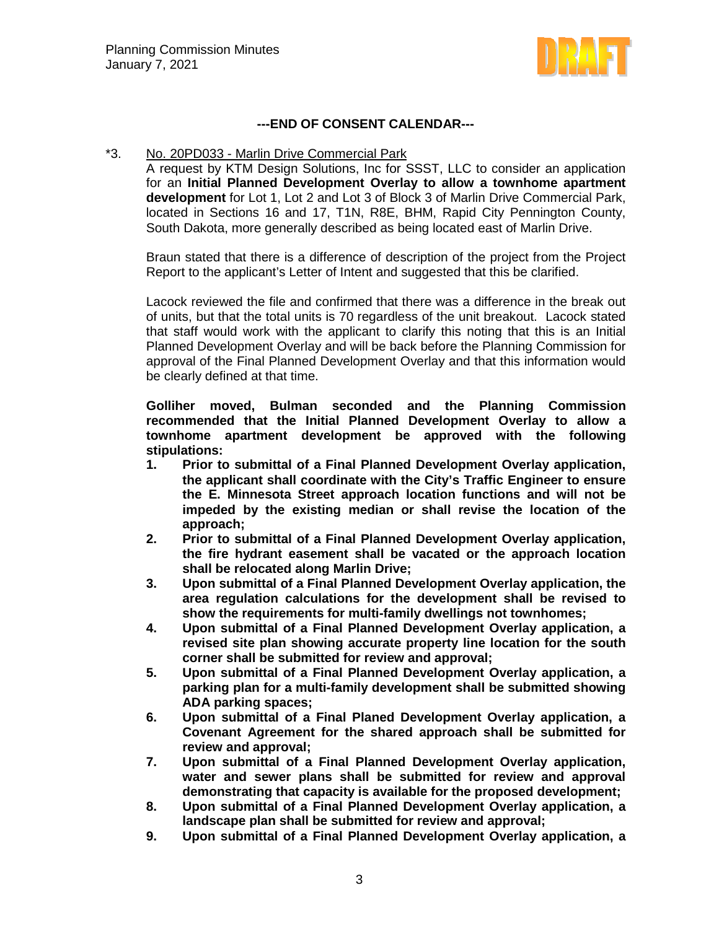

## **---END OF CONSENT CALENDAR---**

#### \*3. No. 20PD033 - Marlin Drive Commercial Park

A request by KTM Design Solutions, Inc for SSST, LLC to consider an application for an **Initial Planned Development Overlay to allow a townhome apartment development** for Lot 1, Lot 2 and Lot 3 of Block 3 of Marlin Drive Commercial Park, located in Sections 16 and 17, T1N, R8E, BHM, Rapid City Pennington County, South Dakota, more generally described as being located east of Marlin Drive.

Braun stated that there is a difference of description of the project from the Project Report to the applicant's Letter of Intent and suggested that this be clarified.

Lacock reviewed the file and confirmed that there was a difference in the break out of units, but that the total units is 70 regardless of the unit breakout. Lacock stated that staff would work with the applicant to clarify this noting that this is an Initial Planned Development Overlay and will be back before the Planning Commission for approval of the Final Planned Development Overlay and that this information would be clearly defined at that time.

**Golliher moved, Bulman seconded and the Planning Commission recommended that the Initial Planned Development Overlay to allow a townhome apartment development be approved with the following stipulations:**

- **1. Prior to submittal of a Final Planned Development Overlay application, the applicant shall coordinate with the City's Traffic Engineer to ensure the E. Minnesota Street approach location functions and will not be impeded by the existing median or shall revise the location of the approach;**
- **2. Prior to submittal of a Final Planned Development Overlay application, the fire hydrant easement shall be vacated or the approach location shall be relocated along Marlin Drive;**
- **3. Upon submittal of a Final Planned Development Overlay application, the area regulation calculations for the development shall be revised to show the requirements for multi-family dwellings not townhomes;**
- **4. Upon submittal of a Final Planned Development Overlay application, a revised site plan showing accurate property line location for the south corner shall be submitted for review and approval;**
- **5. Upon submittal of a Final Planned Development Overlay application, a parking plan for a multi-family development shall be submitted showing ADA parking spaces;**
- **6. Upon submittal of a Final Planed Development Overlay application, a Covenant Agreement for the shared approach shall be submitted for review and approval;**
- **7. Upon submittal of a Final Planned Development Overlay application, water and sewer plans shall be submitted for review and approval demonstrating that capacity is available for the proposed development;**
- **8. Upon submittal of a Final Planned Development Overlay application, a landscape plan shall be submitted for review and approval;**
- **9. Upon submittal of a Final Planned Development Overlay application, a**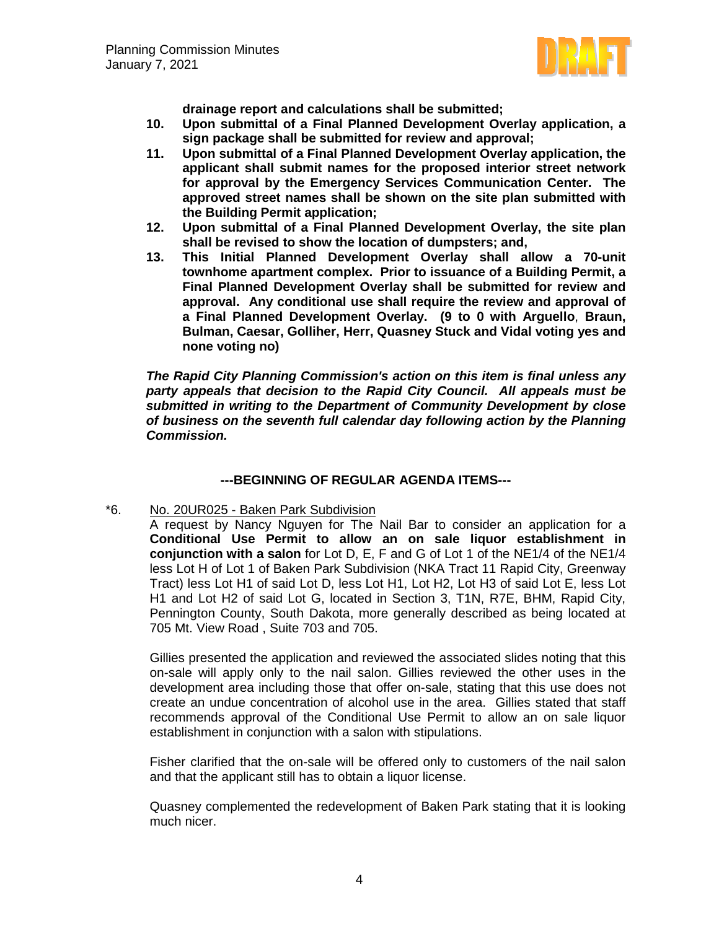

**drainage report and calculations shall be submitted;**

- **10. Upon submittal of a Final Planned Development Overlay application, a sign package shall be submitted for review and approval;**
- **11. Upon submittal of a Final Planned Development Overlay application, the applicant shall submit names for the proposed interior street network for approval by the Emergency Services Communication Center. The approved street names shall be shown on the site plan submitted with the Building Permit application;**
- **12. Upon submittal of a Final Planned Development Overlay, the site plan shall be revised to show the location of dumpsters; and,**
- **13. This Initial Planned Development Overlay shall allow a 70-unit townhome apartment complex. Prior to issuance of a Building Permit, a Final Planned Development Overlay shall be submitted for review and approval. Any conditional use shall require the review and approval of a Final Planned Development Overlay. (9 to 0 with Arguello**, **Braun, Bulman, Caesar, Golliher, Herr, Quasney Stuck and Vidal voting yes and none voting no)**

*The Rapid City Planning Commission's action on this item is final unless any party appeals that decision to the Rapid City Council. All appeals must be submitted in writing to the Department of Community Development by close of business on the seventh full calendar day following action by the Planning Commission.*

# **---BEGINNING OF REGULAR AGENDA ITEMS---**

## \*6. No. 20UR025 - Baken Park Subdivision

A request by Nancy Nguyen for The Nail Bar to consider an application for a **Conditional Use Permit to allow an on sale liquor establishment in conjunction with a salon** for Lot D, E, F and G of Lot 1 of the NE1/4 of the NE1/4 less Lot H of Lot 1 of Baken Park Subdivision (NKA Tract 11 Rapid City, Greenway Tract) less Lot H1 of said Lot D, less Lot H1, Lot H2, Lot H3 of said Lot E, less Lot H1 and Lot H2 of said Lot G, located in Section 3, T1N, R7E, BHM, Rapid City, Pennington County, South Dakota, more generally described as being located at 705 Mt. View Road , Suite 703 and 705.

Gillies presented the application and reviewed the associated slides noting that this on-sale will apply only to the nail salon. Gillies reviewed the other uses in the development area including those that offer on-sale, stating that this use does not create an undue concentration of alcohol use in the area. Gillies stated that staff recommends approval of the Conditional Use Permit to allow an on sale liquor establishment in conjunction with a salon with stipulations.

Fisher clarified that the on-sale will be offered only to customers of the nail salon and that the applicant still has to obtain a liquor license.

Quasney complemented the redevelopment of Baken Park stating that it is looking much nicer.